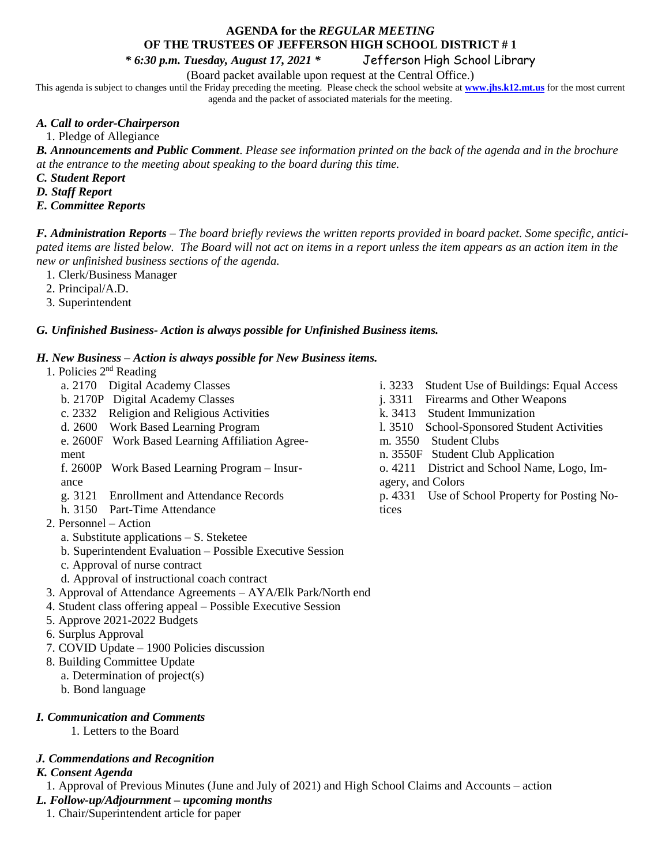# **AGENDA for the** *REGULAR MEETING* **OF THE TRUSTEES OF JEFFERSON HIGH SCHOOL DISTRICT # 1**

*\* 6:30 p.m. Tuesday, August 17, 2021 \** Jefferson High School Library

(Board packet available upon request at the Central Office.)

This agenda is subject to changes until the Friday preceding the meeting. Please check the school website at **[www.jhs.k12.mt.us](http://www.jhs.k12.mt.us/)** for the most current agenda and the packet of associated materials for the meeting.

## *A. Call to order-Chairperson*

1. Pledge of Allegiance

*B. Announcements and Public Comment*. *Please see information printed on the back of the agenda and in the brochure at the entrance to the meeting about speaking to the board during this time.* 

*C. Student Report*

- *D. Staff Report*
- *E. Committee Reports*

*F. Administration Reports* – *The board briefly reviews the written reports provided in board packet. Some specific, anticipated items are listed below. The Board will not act on items in a report unless the item appears as an action item in the new or unfinished business sections of the agenda.*

- 1. Clerk/Business Manager
- 2. Principal/A.D.
- 3. Superintendent

## *G. Unfinished Business- Action is always possible for Unfinished Business items.*

## *H. New Business – Action is always possible for New Business items.*

- 1. Policies 2<sup>nd</sup> Reading
	- a. 2170 Digital Academy Classes
	- b. 2170P Digital Academy Classes
	- c. 2332 Religion and Religious Activities
	- d. 2600 Work Based Learning Program
	- e. 2600F Work Based Learning Affiliation Agreement

f. 2600P Work Based Learning Program – Insurance

- g. 3121 Enrollment and Attendance Records
- h. 3150 Part-Time Attendance
- 2. Personnel Action
	- a. Substitute applications S. Steketee
	- b. Superintendent Evaluation Possible Executive Session
	- c. Approval of nurse contract
	- d. Approval of instructional coach contract
- 3. Approval of Attendance Agreements AYA/Elk Park/North end
- 4. Student class offering appeal Possible Executive Session
- 5. Approve 2021-2022 Budgets
- 6. Surplus Approval
- 7. COVID Update 1900 Policies discussion
- 8. Building Committee Update
	- a. Determination of project(s)
	- b. Bond language

# *I. Communication and Comments*

1. Letters to the Board

## *J. Commendations and Recognition*

## *K. Consent Agenda*

1. Approval of Previous Minutes (June and July of 2021) and High School Claims and Accounts – action *L. Follow-up/Adjournment – upcoming months*

1. Chair/Superintendent article for paper

- i. 3233 Student Use of Buildings: Equal Access
- j. 3311 Firearms and Other Weapons
- k. 3413 Student Immunization
- l. 3510 School-Sponsored Student Activities
- m. 3550 Student Clubs
- n. 3550F Student Club Application
- o. 4211 District and School Name, Logo, Imagery, and Colors
- p. 4331 Use of School Property for Posting Notices